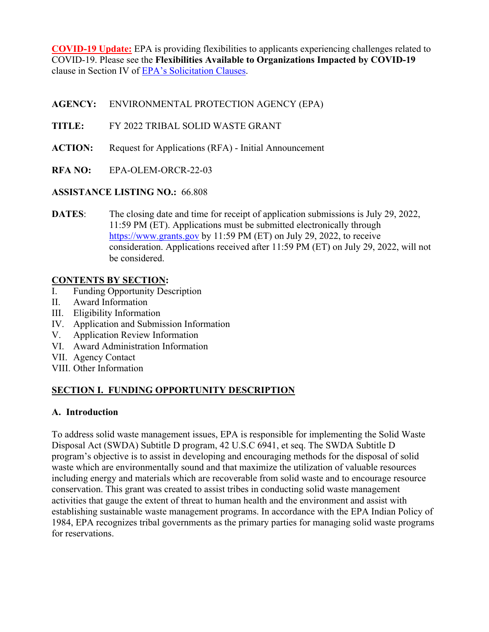**COVID-19 Update:** EPA is providing flexibilities to applicants experiencing challenges related to COVID-19. Please see the **Flexibilities Available to Organizations Impacted by COVID-19**  clause in Section IV of [EPA's Solicitation Clauses.](https://www.epa.gov/grants/epa-solicitation-clauses)

**AGENCY:** ENVIRONMENTAL PROTECTION AGENCY (EPA)

- **TITLE:** FY 2022 TRIBAL SOLID WASTE GRANT
- **ACTION:** Request for Applications (RFA) Initial Announcement
- **RFA NO:** EPA-OLEM-ORCR-22-03

# **ASSISTANCE LISTING NO.:** 66.808

**DATES:** The closing date and time for receipt of application submissions is July 29, 2022, 11:59 PM (ET). Applications must be submitted electronically through [https://www.grants.gov](https://www.grants.gov/) by 11:59 PM (ET) on July 29, 2022, to receive consideration. Applications received after 11:59 PM (ET) on July 29, 2022, will not be considered.

# **CONTENTS BY SECTION:**

- I. Funding Opportunity Description
- II. Award Information
- III. Eligibility Information
- IV. Application and Submission Information
- V. Application Review Information
- VI. Award Administration Information
- VII. Agency Contact
- VIII. Other Information

# **SECTION I. FUNDING OPPORTUNITY DESCRIPTION**

## **A. Introduction**

To address solid waste management issues, EPA is responsible for implementing the Solid Waste Disposal Act (SWDA) Subtitle D program, 42 U.S.C 6941, et seq. The SWDA Subtitle D program's objective is to assist in developing and encouraging methods for the disposal of solid waste which are environmentally sound and that maximize the utilization of valuable resources including energy and materials which are recoverable from solid waste and to encourage resource conservation. This grant was created to assist tribes in conducting solid waste management activities that gauge the extent of threat to human health and the environment and assist with establishing sustainable waste management programs. In accordance with the EPA Indian Policy of 1984, EPA recognizes tribal governments as the primary parties for managing solid waste programs for reservations.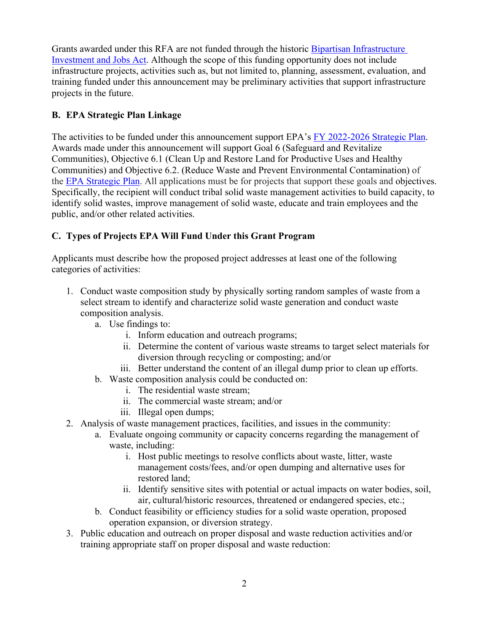Grants awarded under this RFA are not funded through the historic [Bipartisan Infrastructure](https://www.epa.gov/infrastructure)  [Investment and Jobs Act.](https://www.epa.gov/infrastructure) Although the scope of this funding opportunity does not include infrastructure projects, activities such as, but not limited to, planning, assessment, evaluation, and training funded under this announcement may be preliminary activities that support infrastructure projects in the future.

# **B. EPA Strategic Plan Linkage**

The activities to be funded under this announcement support EPA's [FY 2022-2026 Strategic Plan.](https://www.epa.gov/planandbudget/strategicplan) Awards made under this announcement will support Goal 6 (Safeguard and Revitalize Communities), Objective 6.1 (Clean Up and Restore Land for Productive Uses and Healthy Communities) and Objective 6.2. (Reduce Waste and Prevent Environmental Contamination) of the [EPA Strategic Plan.](https://www.epa.gov/planandbudget/strategicplan) All applications must be for projects that support these goals and objectives. Specifically, the recipient will conduct tribal solid waste management activities to build capacity, to identify solid wastes, improve management of solid waste, educate and train employees and the public, and/or other related activities.

# **C. Types of Projects EPA Will Fund Under this Grant Program**

Applicants must describe how the proposed project addresses at least one of the following categories of activities:

- 1. Conduct waste composition study by physically sorting random samples of waste from a select stream to identify and characterize solid waste generation and conduct waste composition analysis.
	- a. Use findings to:
		- i. Inform education and outreach programs;
		- ii. Determine the content of various waste streams to target select materials for diversion through recycling or composting; and/or
		- iii. Better understand the content of an illegal dump prior to clean up efforts.
	- b. Waste composition analysis could be conducted on:
		- i. The residential waste stream;
		- ii. The commercial waste stream; and/or
		- iii. Illegal open dumps;
- 2. Analysis of waste management practices, facilities, and issues in the community:
	- a. Evaluate ongoing community or capacity concerns regarding the management of waste, including:
		- i. Host public meetings to resolve conflicts about waste, litter, waste management costs/fees, and/or open dumping and alternative uses for restored land;
		- ii. Identify sensitive sites with potential or actual impacts on water bodies, soil, air, cultural/historic resources, threatened or endangered species, etc.;
	- b. Conduct feasibility or efficiency studies for a solid waste operation, proposed operation expansion, or diversion strategy.
- 3. Public education and outreach on proper disposal and waste reduction activities and/or training appropriate staff on proper disposal and waste reduction: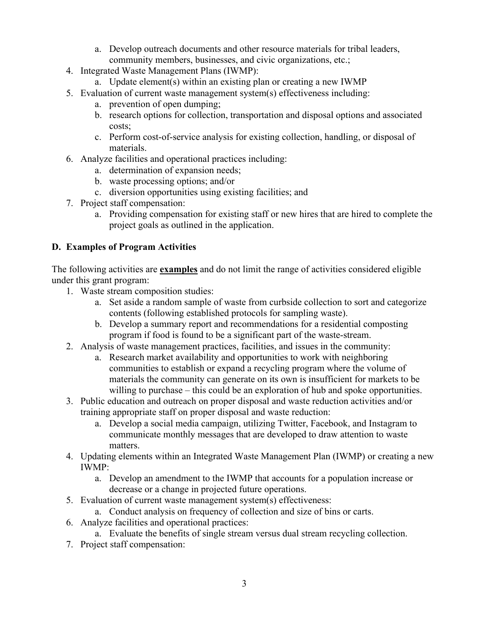- a. Develop outreach documents and other resource materials for tribal leaders, community members, businesses, and civic organizations, etc.;
- 4. Integrated Waste Management Plans (IWMP):
	- a. Update element(s) within an existing plan or creating a new IWMP
- 5. Evaluation of current waste management system(s) effectiveness including:
	- a. prevention of open dumping;
	- b. research options for collection, transportation and disposal options and associated costs;
	- c. Perform cost-of-service analysis for existing collection, handling, or disposal of materials.
- 6. Analyze facilities and operational practices including:
	- a. determination of expansion needs;
	- b. waste processing options; and/or
	- c. diversion opportunities using existing facilities; and
- 7. Project staff compensation:
	- a. Providing compensation for existing staff or new hires that are hired to complete the project goals as outlined in the application.

# **D. Examples of Program Activities**

The following activities are **examples** and do not limit the range of activities considered eligible under this grant program:

- 1. Waste stream composition studies:
	- a. Set aside a random sample of waste from curbside collection to sort and categorize contents (following established protocols for sampling waste).
	- b. Develop a summary report and recommendations for a residential composting program if food is found to be a significant part of the waste-stream.
- 2. Analysis of waste management practices, facilities, and issues in the community:
	- a. Research market availability and opportunities to work with neighboring communities to establish or expand a recycling program where the volume of materials the community can generate on its own is insufficient for markets to be willing to purchase – this could be an exploration of hub and spoke opportunities.
- 3. Public education and outreach on proper disposal and waste reduction activities and/or training appropriate staff on proper disposal and waste reduction:
	- a. Develop a social media campaign, utilizing Twitter, Facebook, and Instagram to communicate monthly messages that are developed to draw attention to waste matters.
- 4. Updating elements within an Integrated Waste Management Plan (IWMP) or creating a new IWMP:
	- a. Develop an amendment to the IWMP that accounts for a population increase or decrease or a change in projected future operations.
- 5. Evaluation of current waste management system(s) effectiveness:
- a. Conduct analysis on frequency of collection and size of bins or carts.
- 6. Analyze facilities and operational practices:
	- a. Evaluate the benefits of single stream versus dual stream recycling collection.
- 7. Project staff compensation: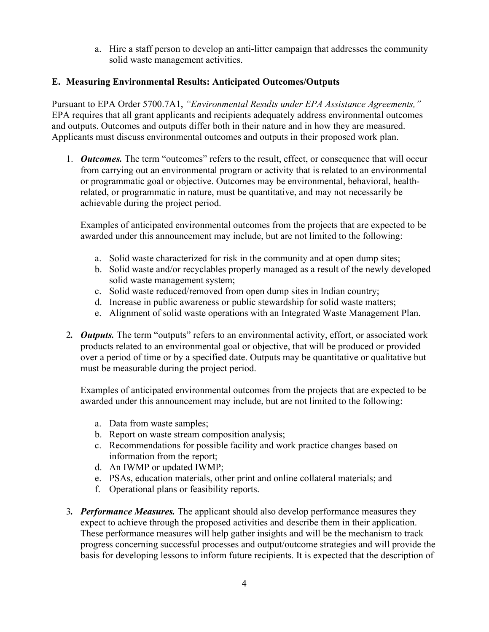a. Hire a staff person to develop an anti-litter campaign that addresses the community solid waste management activities.

## **E. Measuring Environmental Results: Anticipated Outcomes/Outputs**

Pursuant to EPA Order 5700.7A1, *"Environmental Results under EPA Assistance Agreements,"* EPA requires that all grant applicants and recipients adequately address environmental outcomes and outputs. Outcomes and outputs differ both in their nature and in how they are measured. Applicants must discuss environmental outcomes and outputs in their proposed work plan.

1. *Outcomes.* The term "outcomes" refers to the result, effect, or consequence that will occur from carrying out an environmental program or activity that is related to an environmental or programmatic goal or objective. Outcomes may be environmental, behavioral, healthrelated, or programmatic in nature, must be quantitative, and may not necessarily be achievable during the project period.

Examples of anticipated environmental outcomes from the projects that are expected to be awarded under this announcement may include, but are not limited to the following:

- a. Solid waste characterized for risk in the community and at open dump sites;
- b. Solid waste and/or recyclables properly managed as a result of the newly developed solid waste management system;
- c. Solid waste reduced/removed from open dump sites in Indian country;
- d. Increase in public awareness or public stewardship for solid waste matters;
- e. Alignment of solid waste operations with an Integrated Waste Management Plan.
- 2*. Outputs.* The term "outputs" refers to an environmental activity, effort, or associated work products related to an environmental goal or objective, that will be produced or provided over a period of time or by a specified date. Outputs may be quantitative or qualitative but must be measurable during the project period.

Examples of anticipated environmental outcomes from the projects that are expected to be awarded under this announcement may include, but are not limited to the following:

- a. Data from waste samples;
- b. Report on waste stream composition analysis;
- c. Recommendations for possible facility and work practice changes based on information from the report;
- d. An IWMP or updated IWMP;
- e. PSAs, education materials, other print and online collateral materials; and
- f. Operational plans or feasibility reports.
- 3*. Performance Measures.* The applicant should also develop performance measures they expect to achieve through the proposed activities and describe them in their application. These performance measures will help gather insights and will be the mechanism to track progress concerning successful processes and output/outcome strategies and will provide the basis for developing lessons to inform future recipients. It is expected that the description of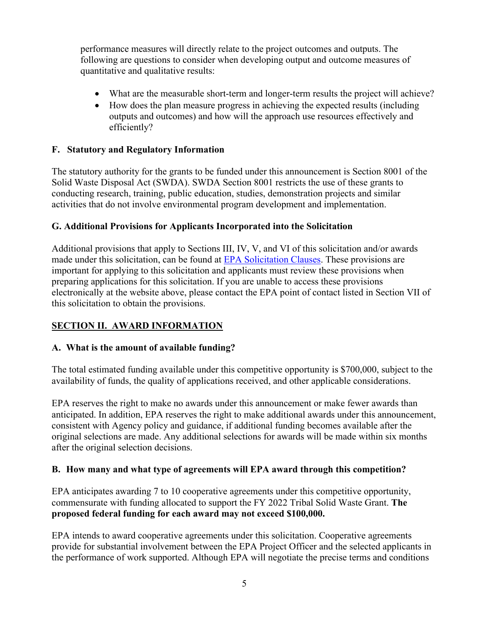performance measures will directly relate to the project outcomes and outputs. The following are questions to consider when developing output and outcome measures of quantitative and qualitative results:

- What are the measurable short-term and longer-term results the project will achieve?
- How does the plan measure progress in achieving the expected results (including outputs and outcomes) and how will the approach use resources effectively and efficiently?

# **F. Statutory and Regulatory Information**

The statutory authority for the grants to be funded under this announcement is Section 8001 of the Solid Waste Disposal Act (SWDA). SWDA Section 8001 restricts the use of these grants to conducting research, training, public education, studies, demonstration projects and similar activities that do not involve environmental program development and implementation.

# **G. Additional Provisions for Applicants Incorporated into the Solicitation**

Additional provisions that apply to Sections III, IV, V, and VI of this solicitation and/or awards made under this solicitation, can be found at [EPA Solicitation Clauses.](https://www.epa.gov/grants/epa-solicitation-clauses) These provisions are important for applying to this solicitation and applicants must review these provisions when preparing applications for this solicitation. If you are unable to access these provisions electronically at the website above, please contact the EPA point of contact listed in Section VII of this solicitation to obtain the provisions.

# **SECTION II. AWARD INFORMATION**

## **A. What is the amount of available funding?**

The total estimated funding available under this competitive opportunity is \$700,000, subject to the availability of funds, the quality of applications received, and other applicable considerations.

EPA reserves the right to make no awards under this announcement or make fewer awards than anticipated. In addition, EPA reserves the right to make additional awards under this announcement, consistent with Agency policy and guidance, if additional funding becomes available after the original selections are made. Any additional selections for awards will be made within six months after the original selection decisions.

## **B. How many and what type of agreements will EPA award through this competition?**

EPA anticipates awarding 7 to 10 cooperative agreements under this competitive opportunity, commensurate with funding allocated to support the FY 2022 Tribal Solid Waste Grant. **The proposed federal funding for each award may not exceed \$100,000.**

EPA intends to award cooperative agreements under this solicitation. Cooperative agreements provide for substantial involvement between the EPA Project Officer and the selected applicants in the performance of work supported. Although EPA will negotiate the precise terms and conditions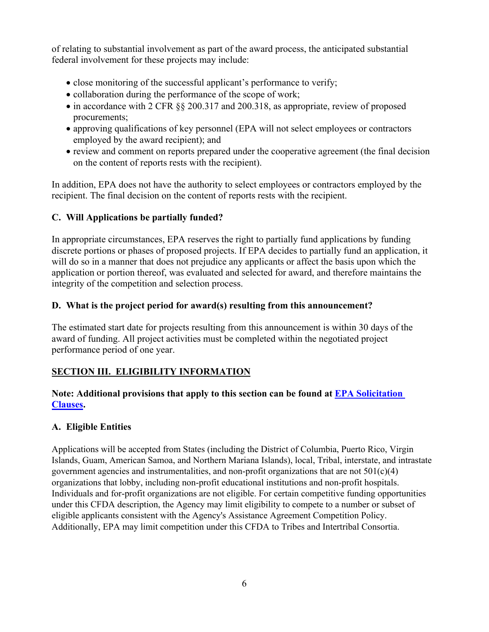of relating to substantial involvement as part of the award process, the anticipated substantial federal involvement for these projects may include:

- close monitoring of the successful applicant's performance to verify;
- collaboration during the performance of the scope of work;
- in accordance with 2 CFR §§ 200.317 and 200.318, as appropriate, review of proposed procurements;
- approving qualifications of key personnel (EPA will not select employees or contractors employed by the award recipient); and
- review and comment on reports prepared under the cooperative agreement (the final decision on the content of reports rests with the recipient).

In addition, EPA does not have the authority to select employees or contractors employed by the recipient. The final decision on the content of reports rests with the recipient.

# **C. Will Applications be partially funded?**

In appropriate circumstances, EPA reserves the right to partially fund applications by funding discrete portions or phases of proposed projects. If EPA decides to partially fund an application, it will do so in a manner that does not prejudice any applicants or affect the basis upon which the application or portion thereof, was evaluated and selected for award, and therefore maintains the integrity of the competition and selection process.

# **D. What is the project period for award(s) resulting from this announcement?**

The estimated start date for projects resulting from this announcement is within 30 days of the award of funding. All project activities must be completed within the negotiated project performance period of one year.

# **SECTION III. ELIGIBILITY INFORMATION**

# **Note: Additional provisions that apply to this section can be found at [EPA Solicitation](https://www.epa.gov/grants/epa-solicitation-clauses)  [Clauses.](https://www.epa.gov/grants/epa-solicitation-clauses)**

## **A. Eligible Entities**

Applications will be accepted from States (including the District of Columbia, Puerto Rico, Virgin Islands, Guam, American Samoa, and Northern Mariana Islands), local, Tribal, interstate, and intrastate government agencies and instrumentalities, and non-profit organizations that are not  $501(c)(4)$ organizations that lobby, including non-profit educational institutions and non-profit hospitals. Individuals and for-profit organizations are not eligible. For certain competitive funding opportunities under this CFDA description, the Agency may limit eligibility to compete to a number or subset of eligible applicants consistent with the Agency's Assistance Agreement Competition Policy. Additionally, EPA may limit competition under this CFDA to Tribes and Intertribal Consortia.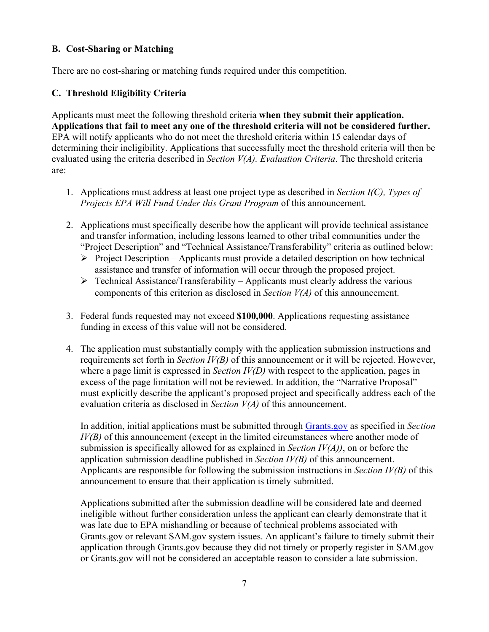#### **B. Cost-Sharing or Matching**

There are no cost-sharing or matching funds required under this competition.

## **C. Threshold Eligibility Criteria**

Applicants must meet the following threshold criteria **when they submit their application. Applications that fail to meet any one of the threshold criteria will not be considered further.** EPA will notify applicants who do not meet the threshold criteria within 15 calendar days of determining their ineligibility. Applications that successfully meet the threshold criteria will then be evaluated using the criteria described in *Section V(A). Evaluation Criteria*. The threshold criteria are:

- 1. Applications must address at least one project type as described in *Section I(C), Types of Projects EPA Will Fund Under this Grant Program* of this announcement.
- 2. Applications must specifically describe how the applicant will provide technical assistance and transfer information, including lessons learned to other tribal communities under the "Project Description" and "Technical Assistance/Transferability" criteria as outlined below:
	- $\triangleright$  Project Description Applicants must provide a detailed description on how technical assistance and transfer of information will occur through the proposed project.
	- $\triangleright$  Technical Assistance/Transferability Applicants must clearly address the various components of this criterion as disclosed in *Section V(A)* of this announcement.
- 3. Federal funds requested may not exceed **\$100,000**. Applications requesting assistance funding in excess of this value will not be considered.
- 4. The application must substantially comply with the application submission instructions and requirements set forth in *Section IV(B)* of this announcement or it will be rejected. However, where a page limit is expressed in *Section IV(D)* with respect to the application, pages in excess of the page limitation will not be reviewed. In addition, the "Narrative Proposal" must explicitly describe the applicant's proposed project and specifically address each of the evaluation criteria as disclosed in *Section V(A)* of this announcement.

In addition, initial applications must be submitted through [Grants.gov](https://www.grants.gov/) as specified in *Section IV(B)* of this announcement (except in the limited circumstances where another mode of submission is specifically allowed for as explained in *Section IV(A))*, on or before the application submission deadline published in *Section IV(B)* of this announcement. Applicants are responsible for following the submission instructions in *Section IV(B)* of this announcement to ensure that their application is timely submitted.

 Applications submitted after the submission deadline will be considered late and deemed ineligible without further consideration unless the applicant can clearly demonstrate that it was late due to EPA mishandling or because of technical problems associated with Grants.gov or relevant SAM.gov system issues. An applicant's failure to timely submit their application through Grants.gov because they did not timely or properly register in SAM.gov or Grants.gov will not be considered an acceptable reason to consider a late submission.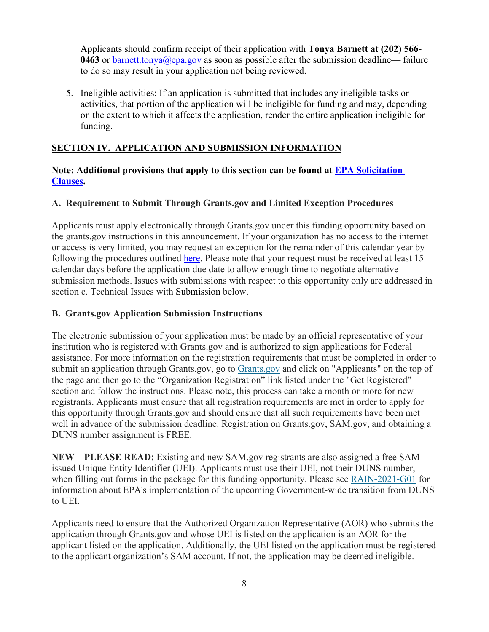Applicants should confirm receipt of their application with **Tonya Barnett at (202) 566- 0463** or [barnett.tonya@epa.gov](mailto:barnett.tonya@epa.gov) as soon as possible after the submission deadline— failure to do so may result in your application not being reviewed.

5. Ineligible activities: If an application is submitted that includes any ineligible tasks or activities, that portion of the application will be ineligible for funding and may, depending on the extent to which it affects the application, render the entire application ineligible for funding.

## **SECTION IV. APPLICATION AND SUBMISSION INFORMATION**

#### **Note: Additional provisions that apply to this section can be found at [EPA Solicitation](https://www.epa.gov/grants/epa-solicitation-clauses)  [Clauses.](https://www.epa.gov/grants/epa-solicitation-clauses)**

## **A. Requirement to Submit Through Grants.gov and Limited Exception Procedures**

Applicants must apply electronically through [Grants.gov](https://www.grants.gov/) under this funding opportunity based on the grants.gov instructions in this announcement. If your organization has no access to the internet or access is very limited, you may request an exception for the remainder of this calendar year by following the procedures outlined [here.](https://www.epa.gov/grants/exceptions-grantsgov-submission-requirement) Please note that your request must be received at least 15 calendar days before the application due date to allow enough time to negotiate alternative submission methods. Issues with submissions with respect to this opportunity only are addressed in section c. Technical Issues with Submission below.

#### **B. Grants.gov Application Submission Instructions**

The electronic submission of your application must be made by an official representative of your institution who is registered with Grants.gov and is authorized to sign applications for Federal assistance. For more information on the registration requirements that must be completed in order to submit an application through Grants.gov, go to [Grants.gov](https://www.grants.gov/) and click on "Applicants" on the top of the page and then go to the "Organization Registration" link listed under the "Get Registered" section and follow the instructions. Please note, this process can take a month or more for new registrants. Applicants must ensure that all registration requirements are met in order to apply for this opportunity through Grants.gov and should ensure that all such requirements have been met well in advance of the submission deadline. Registration on Grants.gov, SAM.gov, and obtaining a DUNS number assignment is FREE.

**NEW – PLEASE READ:** Existing and new SAM.gov registrants are also assigned a free SAMissued Unique Entity Identifier (UEI). Applicants must use their UEI, not their DUNS number, when filling out forms in the package for this funding opportunity. Please see [RAIN-2021-G01](https://www.epa.gov/grants/rain-2021-g01) for information about EPA's implementation of the upcoming Government-wide transition from DUNS to UEI.

Applicants need to ensure that the Authorized Organization Representative (AOR) who submits the application through Grants.gov and whose UEI is listed on the application is an AOR for the applicant listed on the application. Additionally, the UEI listed on the application must be registered to the applicant organization's SAM account. If not, the application may be deemed ineligible.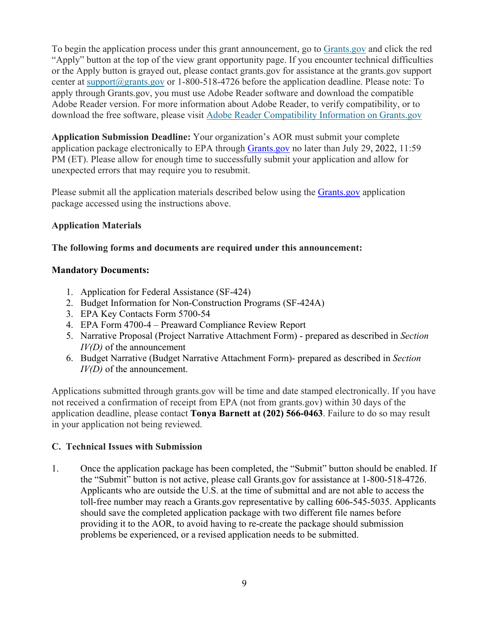To begin the application process under this grant announcement, go to [Grants.gov](https://www.grants.gov/) and click the red "Apply" button at the top of the view grant opportunity page. If you encounter technical difficulties or the Apply button is grayed out, please contact grants.gov for assistance at the grants.gov support center at [support@grants.gov](mailto:support@grants.gov) or 1-800-518-4726 before the application deadline. Please note: To apply through Grants.gov, you must use Adobe Reader software and download the compatible Adobe Reader version. For more information about Adobe Reader, to verify compatibility, or to download the free software, please visit [Adobe Reader Compatibility Information on Grants.gov](https://www.grants.gov/web/grants/applicants/adobe-software-compatibility.html)

**Application Submission Deadline:** Your organization's AOR must submit your complete application package electronically to EPA through [Grants.gov](https://www.grants.gov/) no later than July 29, 2022, 11:59 PM (ET). Please allow for enough time to successfully submit your application and allow for unexpected errors that may require you to resubmit.

Please submit all the application materials described below using the [Grants.gov](https://www.grants.gov/) application package accessed using the instructions above.

## **Application Materials**

## **The following forms and documents are required under this announcement:**

#### **Mandatory Documents:**

- 1. Application for Federal Assistance (SF-424)
- 2. Budget Information for Non-Construction Programs (SF-424A)
- 3. EPA Key Contacts Form 5700-54
- 4. EPA Form 4700-4 Preaward Compliance Review Report
- 5. Narrative Proposal (Project Narrative Attachment Form) prepared as described in *Section IV(D)* of the announcement
- 6. Budget Narrative (Budget Narrative Attachment Form)- prepared as described in *Section IV(D)* of the announcement.

Applications submitted through grants.gov will be time and date stamped electronically. If you have not received a confirmation of receipt from EPA (not from grants.gov) within 30 days of the application deadline, please contact **Tonya Barnett at (202) 566-0463**. Failure to do so may result in your application not being reviewed.

## **C. Technical Issues with Submission**

1. Once the application package has been completed, the "Submit" button should be enabled. If the "Submit" button is not active, please call Grants.gov for assistance at 1-800-518-4726. Applicants who are outside the U.S. at the time of submittal and are not able to access the toll-free number may reach a Grants.gov representative by calling 606-545-5035. Applicants should save the completed application package with two different file names before providing it to the AOR, to avoid having to re-create the package should submission problems be experienced, or a revised application needs to be submitted.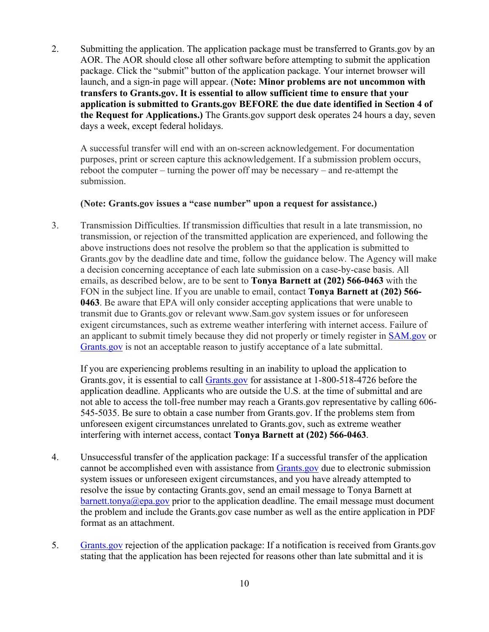2. Submitting the application. The application package must be transferred to Grants.gov by an AOR. The AOR should close all other software before attempting to submit the application package. Click the "submit" button of the application package. Your internet browser will launch, and a sign-in page will appear. (**Note: Minor problems are not uncommon with transfers to Grants.gov. It is essential to allow sufficient time to ensure that your application is submitted to Grants.gov BEFORE the due date identified in Section 4 of the Request for Applications.)** The Grants.gov support desk operates 24 hours a day, seven days a week, except federal holidays.

A successful transfer will end with an on-screen acknowledgement. For documentation purposes, print or screen capture this acknowledgement. If a submission problem occurs, reboot the computer – turning the power off may be necessary – and re-attempt the submission.

#### **(Note: Grants.gov issues a "case number" upon a request for assistance.)**

3. Transmission Difficulties. If transmission difficulties that result in a late transmission, no transmission, or rejection of the transmitted application are experienced, and following the above instructions does not resolve the problem so that the application is submitted to Grants.gov by the deadline date and time, follow the guidance below. The Agency will make a decision concerning acceptance of each late submission on a case-by-case basis. All emails, as described below, are to be sent to **Tonya Barnett at (202) 566-0463** with the FON in the subject line. If you are unable to email, contact **Tonya Barnett at (202) 566- 0463**. Be aware that EPA will only consider accepting applications that were unable to transmit due to Grants.gov or relevant www.Sam.gov system issues or for unforeseen exigent circumstances, such as extreme weather interfering with internet access. Failure of an applicant to submit timely because they did not properly or timely register in [SAM.gov](https://sam.gov/SAM/) or [Grants.gov](https://www.grants.gov/) is not an acceptable reason to justify acceptance of a late submittal.

If you are experiencing problems resulting in an inability to upload the application to Grants.gov, it is essential to call [Grants.gov](https://www.grants.gov/) for assistance at 1-800-518-4726 before the application deadline. Applicants who are outside the U.S. at the time of submittal and are not able to access the toll-free number may reach a Grants.gov representative by calling 606- 545-5035. Be sure to obtain a case number from Grants.gov. If the problems stem from unforeseen exigent circumstances unrelated to Grants.gov, such as extreme weather interfering with internet access, contact **Tonya Barnett at (202) 566-0463**.

- 4. Unsuccessful transfer of the application package: If a successful transfer of the application cannot be accomplished even with assistance from [Grants.gov](https://www.grants.gov/) due to electronic submission system issues or unforeseen exigent circumstances, and you have already attempted to resolve the issue by contacting Grants.gov, send an email message to Tonya Barnett at  $bart. tonya@epa.gov prior to the application deadline. The email message must document$ the problem and include the Grants.gov case number as well as the entire application in PDF format as an attachment.
- 5. [Grants.gov](https://www.grants.gov/) rejection of the application package: If a notification is received from Grants.gov stating that the application has been rejected for reasons other than late submittal and it is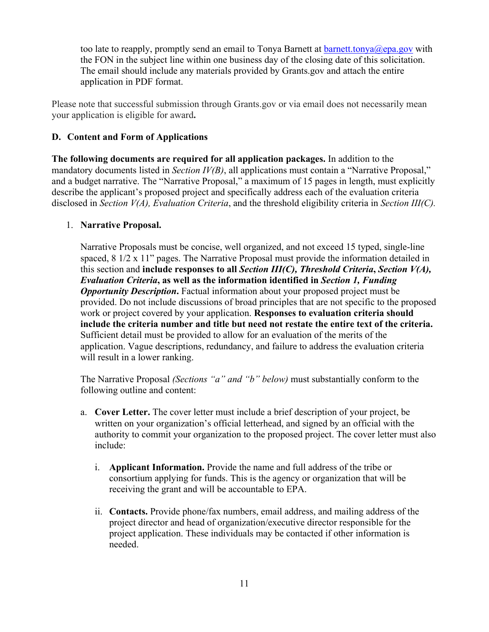too late to reapply, promptly send an email to Tonya Barnett at [barnett.tonya@epa.gov](mailto:barnett.tonya@epa.gov) with the FON in the subject line within one business day of the closing date of this solicitation. The email should include any materials provided by Grants.gov and attach the entire application in PDF format.

Please note that successful submission through Grants.gov or via email does not necessarily mean your application is eligible for award**.** 

#### **D. Content and Form of Applications**

**The following documents are required for all application packages.** In addition to the mandatory documents listed in *Section IV(B)*, all applications must contain a "Narrative Proposal," and a budget narrative. The "Narrative Proposal," a maximum of 15 pages in length, must explicitly describe the applicant's proposed project and specifically address each of the evaluation criteria disclosed in *Section V(A), Evaluation Criteria*, and the threshold eligibility criteria in *Section III(C).*

#### 1. **Narrative Proposal.**

Narrative Proposals must be concise, well organized, and not exceed 15 typed, single-line spaced,  $8 \frac{1}{2} \times 11$ " pages. The Narrative Proposal must provide the information detailed in this section and **include responses to all** *Section III(C), Threshold Criteria***,** *Section V(A), Evaluation Criteria***, as well as the information identified in** *Section 1, Funding Opportunity Description***.** Factual information about your proposed project must be provided. Do not include discussions of broad principles that are not specific to the proposed work or project covered by your application. **Responses to evaluation criteria should include the criteria number and title but need not restate the entire text of the criteria.** Sufficient detail must be provided to allow for an evaluation of the merits of the application. Vague descriptions, redundancy, and failure to address the evaluation criteria will result in a lower ranking.

 The Narrative Proposal *(Sections "a" and "b" below)* must substantially conform to the following outline and content:

- a. **Cover Letter.** The cover letter must include a brief description of your project, be written on your organization's official letterhead, and signed by an official with the authority to commit your organization to the proposed project. The cover letter must also include:
	- i. **Applicant Information.** Provide the name and full address of the tribe or consortium applying for funds. This is the agency or organization that will be receiving the grant and will be accountable to EPA.
	- ii. **Contacts.** Provide phone/fax numbers, email address, and mailing address of the project director and head of organization/executive director responsible for the project application. These individuals may be contacted if other information is needed.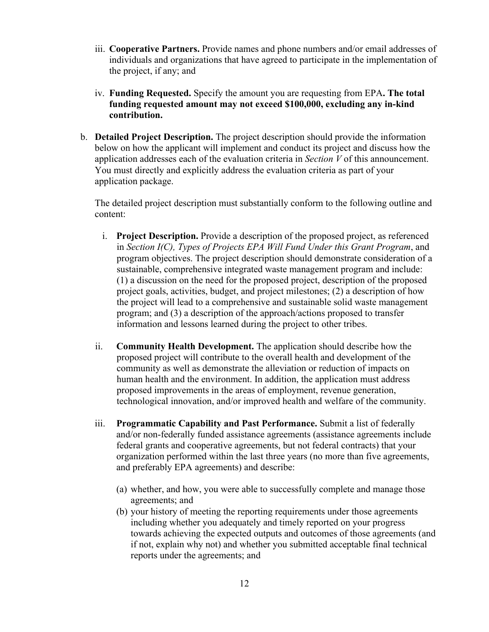- iii. **Cooperative Partners.** Provide names and phone numbers and/or email addresses of individuals and organizations that have agreed to participate in the implementation of the project, if any; and
- iv. **Funding Requested.** Specify the amount you are requesting from EPA**. The total funding requested amount may not exceed \$100,000, excluding any in-kind contribution.**
- b. **Detailed Project Description.** The project description should provide the information below on how the applicant will implement and conduct its project and discuss how the application addresses each of the evaluation criteria in *Section V* of this announcement. You must directly and explicitly address the evaluation criteria as part of your application package.

The detailed project description must substantially conform to the following outline and content:

- i. **Project Description.** Provide a description of the proposed project, as referenced in *Section I(C), Types of Projects EPA Will Fund Under this Grant Program*, and program objectives. The project description should demonstrate consideration of a sustainable, comprehensive integrated waste management program and include: (1) a discussion on the need for the proposed project, description of the proposed project goals, activities, budget, and project milestones; (2) a description of how the project will lead to a comprehensive and sustainable solid waste management program; and (3) a description of the approach/actions proposed to transfer information and lessons learned during the project to other tribes.
- ii. **Community Health Development.** The application should describe how the proposed project will contribute to the overall health and development of the community as well as demonstrate the alleviation or reduction of impacts on human health and the environment. In addition, the application must address proposed improvements in the areas of employment, revenue generation, technological innovation, and/or improved health and welfare of the community.
- iii. **Programmatic Capability and Past Performance.** Submit a list of federally and/or non-federally funded assistance agreements (assistance agreements include federal grants and cooperative agreements, but not federal contracts) that your organization performed within the last three years (no more than five agreements, and preferably EPA agreements) and describe:
	- (a) whether, and how, you were able to successfully complete and manage those agreements; and
	- (b) your history of meeting the reporting requirements under those agreements including whether you adequately and timely reported on your progress towards achieving the expected outputs and outcomes of those agreements (and if not, explain why not) and whether you submitted acceptable final technical reports under the agreements; and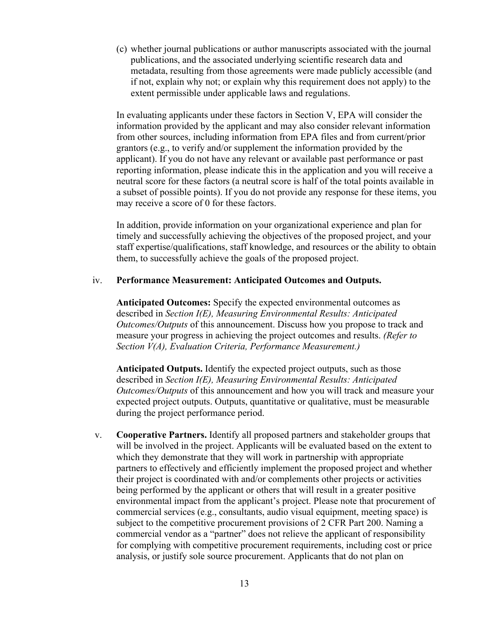(c) whether journal publications or author manuscripts associated with the journal publications, and the associated underlying scientific research data and metadata, resulting from those agreements were made publicly accessible (and if not, explain why not; or explain why this requirement does not apply) to the extent permissible under applicable laws and regulations.

In evaluating applicants under these factors in Section V, EPA will consider the information provided by the applicant and may also consider relevant information from other sources, including information from EPA files and from current/prior grantors (e.g., to verify and/or supplement the information provided by the applicant). If you do not have any relevant or available past performance or past reporting information, please indicate this in the application and you will receive a neutral score for these factors (a neutral score is half of the total points available in a subset of possible points). If you do not provide any response for these items, you may receive a score of 0 for these factors.

In addition, provide information on your organizational experience and plan for timely and successfully achieving the objectives of the proposed project, and your staff expertise/qualifications, staff knowledge, and resources or the ability to obtain them, to successfully achieve the goals of the proposed project.

#### iv. **Performance Measurement: Anticipated Outcomes and Outputs.**

**Anticipated Outcomes:** Specify the expected environmental outcomes as described in *Section I(E), Measuring Environmental Results: Anticipated Outcomes/Outputs* of this announcement. Discuss how you propose to track and measure your progress in achieving the project outcomes and results. *(Refer to Section V(A), Evaluation Criteria, Performance Measurement.)*

**Anticipated Outputs.** Identify the expected project outputs, such as those described in *Section I(E), Measuring Environmental Results: Anticipated Outcomes/Outputs* of this announcement and how you will track and measure your expected project outputs. Outputs, quantitative or qualitative, must be measurable during the project performance period.

v. **Cooperative Partners.** Identify all proposed partners and stakeholder groups that will be involved in the project. Applicants will be evaluated based on the extent to which they demonstrate that they will work in partnership with appropriate partners to effectively and efficiently implement the proposed project and whether their project is coordinated with and/or complements other projects or activities being performed by the applicant or others that will result in a greater positive environmental impact from the applicant's project. Please note that procurement of commercial services (e.g., consultants, audio visual equipment, meeting space) is subject to the competitive procurement provisions of 2 CFR Part 200. Naming a commercial vendor as a "partner" does not relieve the applicant of responsibility for complying with competitive procurement requirements, including cost or price analysis, or justify sole source procurement. Applicants that do not plan on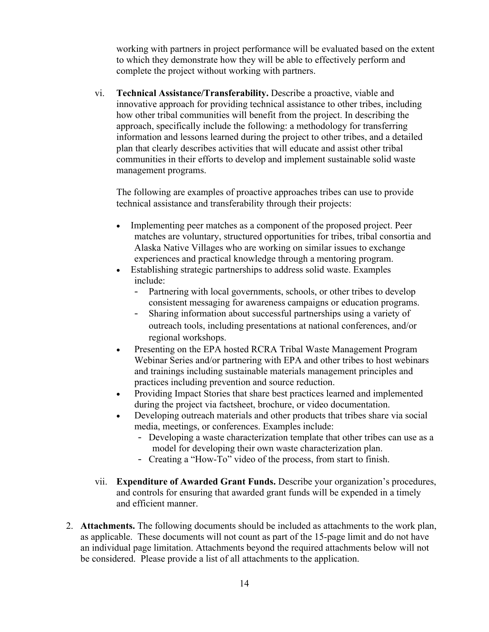working with partners in project performance will be evaluated based on the extent to which they demonstrate how they will be able to effectively perform and complete the project without working with partners.

vi. **Technical Assistance/Transferability.** Describe a proactive, viable and innovative approach for providing technical assistance to other tribes, including how other tribal communities will benefit from the project. In describing the approach, specifically include the following: a methodology for transferring information and lessons learned during the project to other tribes, and a detailed plan that clearly describes activities that will educate and assist other tribal communities in their efforts to develop and implement sustainable solid waste management programs.

The following are examples of proactive approaches tribes can use to provide technical assistance and transferability through their projects:

- Implementing peer matches as a component of the proposed project. Peer matches are voluntary, structured opportunities for tribes, tribal consortia and Alaska Native Villages who are working on similar issues to exchange experiences and practical knowledge through a mentoring program.
- Establishing strategic partnerships to address solid waste. Examples include:
	- Partnering with local governments, schools, or other tribes to develop consistent messaging for awareness campaigns or education programs.
	- Sharing information about successful partnerships using a variety of outreach tools, including presentations at national conferences, and/or regional workshops.
- Presenting on the EPA hosted RCRA Tribal Waste Management Program Webinar Series and/or partnering with EPA and other tribes to host webinars and trainings including sustainable materials management principles and practices including prevention and source reduction.
- Providing Impact Stories that share best practices learned and implemented during the project via factsheet, brochure, or video documentation.
- Developing outreach materials and other products that tribes share via social media, meetings, or conferences. Examples include:
	- Developing a waste characterization template that other tribes can use as a model for developing their own waste characterization plan.
	- Creating a "How-To" video of the process, from start to finish.
- vii. **Expenditure of Awarded Grant Funds.** Describe your organization's procedures, and controls for ensuring that awarded grant funds will be expended in a timely and efficient manner.
- 2. **Attachments.** The following documents should be included as attachments to the work plan, as applicable. These documents will not count as part of the 15-page limit and do not have an individual page limitation. Attachments beyond the required attachments below will not be considered. Please provide a list of all attachments to the application.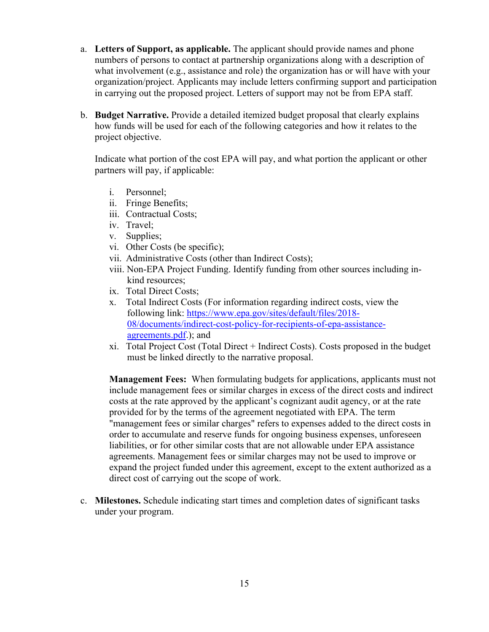- a. **Letters of Support, as applicable.** The applicant should provide names and phone numbers of persons to contact at partnership organizations along with a description of what involvement (e.g., assistance and role) the organization has or will have with your organization/project. Applicants may include letters confirming support and participation in carrying out the proposed project. Letters of support may not be from EPA staff.
- b. **Budget Narrative.** Provide a detailed itemized budget proposal that clearly explains how funds will be used for each of the following categories and how it relates to the project objective.

 Indicate what portion of the cost EPA will pay, and what portion the applicant or other partners will pay, if applicable:

- i. Personnel;
- ii. Fringe Benefits;
- iii. Contractual Costs;
- iv. Travel;
- v. Supplies;
- vi. Other Costs (be specific);
- vii. Administrative Costs (other than Indirect Costs);
- viii. Non-EPA Project Funding. Identify funding from other sources including inkind resources;
- ix. Total Direct Costs;
- x. Total Indirect Costs (For information regarding indirect costs, view the following link: [https://www.epa.gov/sites/default/files/2018-](https://www.epa.gov/sites/default/files/2018-08/documents/indirect-cost-policy-for-recipients-of-epa-assistance-agreements.pdf) [08/documents/indirect-cost-policy-for-recipients-of-epa-assistance](https://www.epa.gov/sites/default/files/2018-08/documents/indirect-cost-policy-for-recipients-of-epa-assistance-agreements.pdf)[agreements.pdf.](https://www.epa.gov/sites/default/files/2018-08/documents/indirect-cost-policy-for-recipients-of-epa-assistance-agreements.pdf)); and
- xi. Total Project Cost (Total Direct + Indirect Costs). Costs proposed in the budget must be linked directly to the narrative proposal.

**Management Fees:** When formulating budgets for applications, applicants must not include management fees or similar charges in excess of the direct costs and indirect costs at the rate approved by the applicant's cognizant audit agency, or at the rate provided for by the terms of the agreement negotiated with EPA. The term "management fees or similar charges" refers to expenses added to the direct costs in order to accumulate and reserve funds for ongoing business expenses, unforeseen liabilities, or for other similar costs that are not allowable under EPA assistance agreements. Management fees or similar charges may not be used to improve or expand the project funded under this agreement, except to the extent authorized as a direct cost of carrying out the scope of work.

 c. **Milestones.** Schedule indicating start times and completion dates of significant tasks under your program.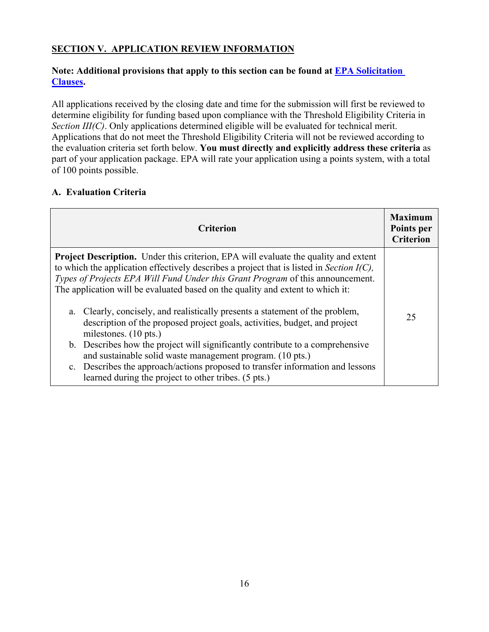# **SECTION V. APPLICATION REVIEW INFORMATION**

## **Note: Additional provisions that apply to this section can be found at [EPA Solicitation](https://www.epa.gov/grants/epa-solicitation-clauses)  [Clauses.](https://www.epa.gov/grants/epa-solicitation-clauses)**

All applications received by the closing date and time for the submission will first be reviewed to determine eligibility for funding based upon compliance with the Threshold Eligibility Criteria in *Section III(C)*. Only applications determined eligible will be evaluated for technical merit. Applications that do not meet the Threshold Eligibility Criteria will not be reviewed according to the evaluation criteria set forth below. **You must directly and explicitly address these criteria** as part of your application package. EPA will rate your application using a points system, with a total of 100 points possible.

## **A. Evaluation Criteria**

| <b>Criterion</b>                                                                                                                                                                                                                                                                                                                                                                                                                                                                                                                                                                                                                                                                                                                                                                                                                                 | <b>Maximum</b><br>Points per<br><b>Criterion</b> |
|--------------------------------------------------------------------------------------------------------------------------------------------------------------------------------------------------------------------------------------------------------------------------------------------------------------------------------------------------------------------------------------------------------------------------------------------------------------------------------------------------------------------------------------------------------------------------------------------------------------------------------------------------------------------------------------------------------------------------------------------------------------------------------------------------------------------------------------------------|--------------------------------------------------|
| <b>Project Description.</b> Under this criterion, EPA will evaluate the quality and extent<br>to which the application effectively describes a project that is listed in Section $I(C)$ ,<br>Types of Projects EPA Will Fund Under this Grant Program of this announcement.<br>The application will be evaluated based on the quality and extent to which it:<br>Clearly, concisely, and realistically presents a statement of the problem,<br>a.<br>description of the proposed project goals, activities, budget, and project<br>milestones. (10 pts.)<br>b. Describes how the project will significantly contribute to a comprehensive<br>and sustainable solid waste management program. (10 pts.)<br>c. Describes the approach/actions proposed to transfer information and lessons<br>learned during the project to other tribes. (5 pts.) | 25                                               |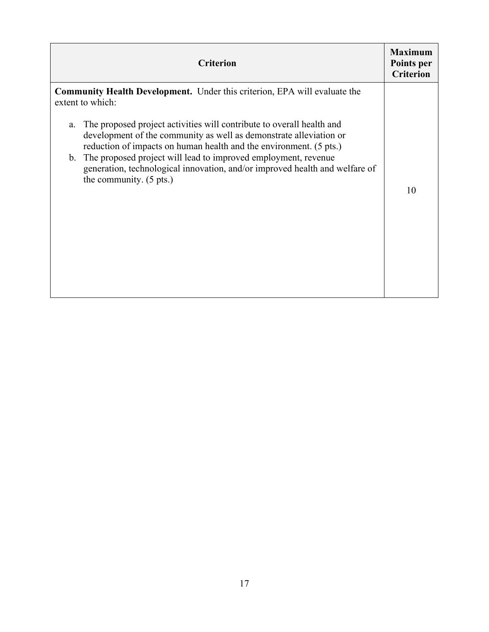| <b>Criterion</b>                                                                                                                                                                                                                                                                                                                                                                                                                                                                                                              | <b>Maximum</b><br>Points per<br><b>Criterion</b> |
|-------------------------------------------------------------------------------------------------------------------------------------------------------------------------------------------------------------------------------------------------------------------------------------------------------------------------------------------------------------------------------------------------------------------------------------------------------------------------------------------------------------------------------|--------------------------------------------------|
| <b>Community Health Development.</b> Under this criterion, EPA will evaluate the<br>extent to which:<br>The proposed project activities will contribute to overall health and<br>a.<br>development of the community as well as demonstrate alleviation or<br>reduction of impacts on human health and the environment. (5 pts.)<br>The proposed project will lead to improved employment, revenue<br>$\mathbf{b}$ .<br>generation, technological innovation, and/or improved health and welfare of<br>the community. (5 pts.) | 10                                               |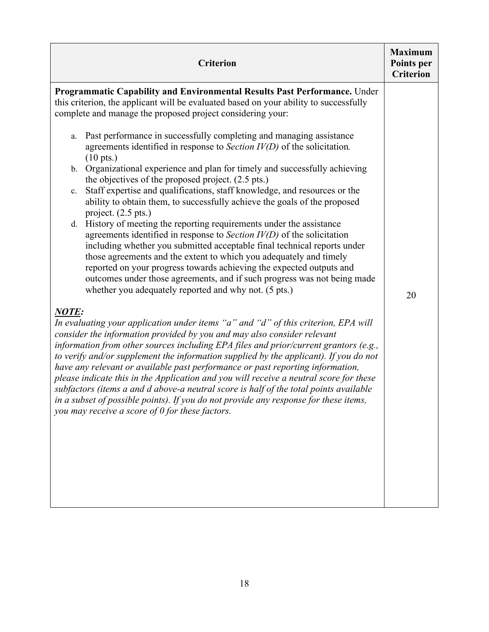| <b>Criterion</b>                                                                                                                                                                                                                                                                                                                                                                                                                                                                                                                                                                                                                                                                                                                                                                                                                                                                                                                                                                                                                                                                                                                                   |                  |  |  |  |
|----------------------------------------------------------------------------------------------------------------------------------------------------------------------------------------------------------------------------------------------------------------------------------------------------------------------------------------------------------------------------------------------------------------------------------------------------------------------------------------------------------------------------------------------------------------------------------------------------------------------------------------------------------------------------------------------------------------------------------------------------------------------------------------------------------------------------------------------------------------------------------------------------------------------------------------------------------------------------------------------------------------------------------------------------------------------------------------------------------------------------------------------------|------------------|--|--|--|
| Programmatic Capability and Environmental Results Past Performance. Under<br>this criterion, the applicant will be evaluated based on your ability to successfully<br>complete and manage the proposed project considering your:<br>Past performance in successfully completing and managing assistance<br>a.<br>agreements identified in response to Section $IV(D)$ of the solicitation.<br>$(10 \text{ pts.})$<br>b. Organizational experience and plan for timely and successfully achieving<br>the objectives of the proposed project. (2.5 pts.)<br>Staff expertise and qualifications, staff knowledge, and resources or the<br>$\mathbf{c}$ .<br>ability to obtain them, to successfully achieve the goals of the proposed<br>project. $(2.5 \text{ pts.})$<br>d. History of meeting the reporting requirements under the assistance<br>agreements identified in response to Section $IV(D)$ of the solicitation<br>including whether you submitted acceptable final technical reports under<br>those agreements and the extent to which you adequately and timely<br>reported on your progress towards achieving the expected outputs and | <b>Criterion</b> |  |  |  |
| outcomes under those agreements, and if such progress was not being made<br>whether you adequately reported and why not. (5 pts.)<br>NOTE:                                                                                                                                                                                                                                                                                                                                                                                                                                                                                                                                                                                                                                                                                                                                                                                                                                                                                                                                                                                                         | 20               |  |  |  |
| In evaluating your application under items "a" and "d" of this criterion, EPA will<br>consider the information provided by you and may also consider relevant<br>information from other sources including EPA files and prior/current grantors (e.g.,<br>to verify and/or supplement the information supplied by the applicant). If you do not<br>have any relevant or available past performance or past reporting information,<br>please indicate this in the Application and you will receive a neutral score for these<br>subfactors (items a and d above-a neutral score is half of the total points available<br>in a subset of possible points). If you do not provide any response for these items,<br>you may receive a score of $0$ for these factors.                                                                                                                                                                                                                                                                                                                                                                                   |                  |  |  |  |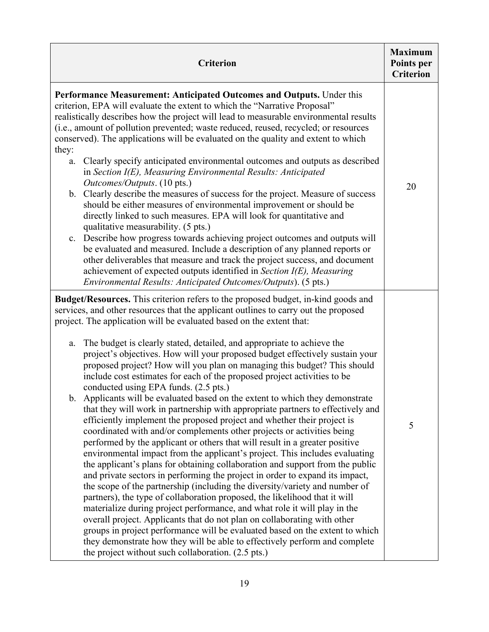| <b>Criterion</b>                                                                                                                                                                                                                                                                                                                                                                                                                                                                                                                                                                                                                                                                                                                                                                                                                                                                                                                                                                                                                                                                                                                                                                                                                                                                                                                                                                                                                                                                                                                                                                                                                                                                                                                                                                                                           |    |  |  |
|----------------------------------------------------------------------------------------------------------------------------------------------------------------------------------------------------------------------------------------------------------------------------------------------------------------------------------------------------------------------------------------------------------------------------------------------------------------------------------------------------------------------------------------------------------------------------------------------------------------------------------------------------------------------------------------------------------------------------------------------------------------------------------------------------------------------------------------------------------------------------------------------------------------------------------------------------------------------------------------------------------------------------------------------------------------------------------------------------------------------------------------------------------------------------------------------------------------------------------------------------------------------------------------------------------------------------------------------------------------------------------------------------------------------------------------------------------------------------------------------------------------------------------------------------------------------------------------------------------------------------------------------------------------------------------------------------------------------------------------------------------------------------------------------------------------------------|----|--|--|
| Performance Measurement: Anticipated Outcomes and Outputs. Under this<br>criterion, EPA will evaluate the extent to which the "Narrative Proposal"<br>realistically describes how the project will lead to measurable environmental results<br>(i.e., amount of pollution prevented; waste reduced, reused, recycled; or resources<br>conserved). The applications will be evaluated on the quality and extent to which<br>they:<br>Clearly specify anticipated environmental outcomes and outputs as described<br>a.<br>in Section I(E), Measuring Environmental Results: Anticipated<br>Outcomes/Outputs. (10 pts.)<br>b. Clearly describe the measures of success for the project. Measure of success<br>should be either measures of environmental improvement or should be<br>directly linked to such measures. EPA will look for quantitative and<br>qualitative measurability. (5 pts.)<br>c. Describe how progress towards achieving project outcomes and outputs will<br>be evaluated and measured. Include a description of any planned reports or<br>other deliverables that measure and track the project success, and document<br>achievement of expected outputs identified in Section $I(E)$ , Measuring<br>Environmental Results: Anticipated Outcomes/Outputs). (5 pts.)                                                                                                                                                                                                                                                                                                                                                                                                                                                                                                                                  | 20 |  |  |
| <b>Budget/Resources.</b> This criterion refers to the proposed budget, in-kind goods and<br>services, and other resources that the applicant outlines to carry out the proposed<br>project. The application will be evaluated based on the extent that:<br>The budget is clearly stated, detailed, and appropriate to achieve the<br>a.<br>project's objectives. How will your proposed budget effectively sustain your<br>proposed project? How will you plan on managing this budget? This should<br>include cost estimates for each of the proposed project activities to be<br>conducted using EPA funds. (2.5 pts.)<br>b. Applicants will be evaluated based on the extent to which they demonstrate<br>that they will work in partnership with appropriate partners to effectively and<br>efficiently implement the proposed project and whether their project is<br>coordinated with and/or complements other projects or activities being<br>performed by the applicant or others that will result in a greater positive<br>environmental impact from the applicant's project. This includes evaluating<br>the applicant's plans for obtaining collaboration and support from the public<br>and private sectors in performing the project in order to expand its impact,<br>the scope of the partnership (including the diversity/variety and number of<br>partners), the type of collaboration proposed, the likelihood that it will<br>materialize during project performance, and what role it will play in the<br>overall project. Applicants that do not plan on collaborating with other<br>groups in project performance will be evaluated based on the extent to which<br>they demonstrate how they will be able to effectively perform and complete<br>the project without such collaboration. (2.5 pts.) | 5  |  |  |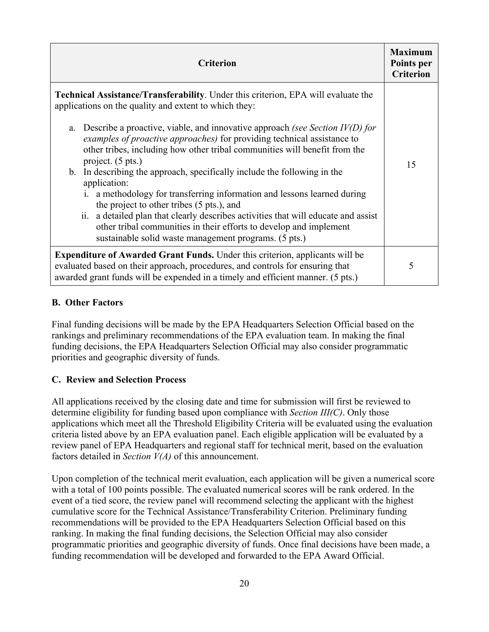| <b>Criterion</b>                                                                                                                                                                                                                                                                                                                                                                                                                                                                                                                                                                                                                                                                                                                                                                                                                                                  | <b>Maximum</b><br>Points per<br><b>Criterion</b> |
|-------------------------------------------------------------------------------------------------------------------------------------------------------------------------------------------------------------------------------------------------------------------------------------------------------------------------------------------------------------------------------------------------------------------------------------------------------------------------------------------------------------------------------------------------------------------------------------------------------------------------------------------------------------------------------------------------------------------------------------------------------------------------------------------------------------------------------------------------------------------|--------------------------------------------------|
| <b>Technical Assistance/Transferability.</b> Under this criterion, EPA will evaluate the<br>applications on the quality and extent to which they:<br>Describe a proactive, viable, and innovative approach (see Section $IV(D)$ for<br>a.<br>examples of proactive approaches) for providing technical assistance to<br>other tribes, including how other tribal communities will benefit from the<br>project. (5 pts.)<br>b. In describing the approach, specifically include the following in the<br>application:<br>i. a methodology for transferring information and lessons learned during<br>the project to other tribes (5 pts.), and<br>ii. a detailed plan that clearly describes activities that will educate and assist<br>other tribal communities in their efforts to develop and implement<br>sustainable solid waste management programs. (5 pts.) | 15                                               |
| <b>Expenditure of Awarded Grant Funds.</b> Under this criterion, applicants will be<br>evaluated based on their approach, procedures, and controls for ensuring that<br>awarded grant funds will be expended in a timely and efficient manner. (5 pts.)                                                                                                                                                                                                                                                                                                                                                                                                                                                                                                                                                                                                           |                                                  |

## **B. Other Factors**

Final funding decisions will be made by the EPA Headquarters Selection Official based on the rankings and preliminary recommendations of the EPA evaluation team. In making the final funding decisions, the EPA Headquarters Selection Official may also consider programmatic priorities and geographic diversity of funds.

## **C. Review and Selection Process**

All applications received by the closing date and time for submission will first be reviewed to determine eligibility for funding based upon compliance with *Section III(C)*. Only those applications which meet all the Threshold Eligibility Criteria will be evaluated using the evaluation criteria listed above by an EPA evaluation panel. Each eligible application will be evaluated by a review panel of EPA Headquarters and regional staff for technical merit, based on the evaluation factors detailed in *Section V(A)* of this announcement.

Upon completion of the technical merit evaluation, each application will be given a numerical score with a total of 100 points possible. The evaluated numerical scores will be rank ordered. In the event of a tied score, the review panel will recommend selecting the applicant with the highest cumulative score for the Technical Assistance/Transferability Criterion. Preliminary funding recommendations will be provided to the EPA Headquarters Selection Official based on this ranking. In making the final funding decisions, the Selection Official may also consider programmatic priorities and geographic diversity of funds. Once final decisions have been made, a funding recommendation will be developed and forwarded to the EPA Award Official.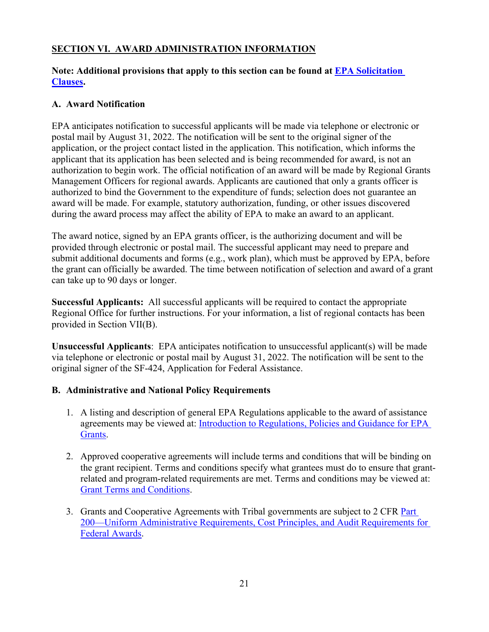# **SECTION VI. AWARD ADMINISTRATION INFORMATION**

#### **Note: Additional provisions that apply to this section can be found at [EPA Solicitation](https://www.epa.gov/grants/epa-solicitation-clauses)  [Clauses.](https://www.epa.gov/grants/epa-solicitation-clauses)**

#### **A. Award Notification**

EPA anticipates notification to successful applicants will be made via telephone or electronic or postal mail by August 31, 2022. The notification will be sent to the original signer of the application, or the project contact listed in the application. This notification, which informs the applicant that its application has been selected and is being recommended for award, is not an authorization to begin work. The official notification of an award will be made by Regional Grants Management Officers for regional awards. Applicants are cautioned that only a grants officer is authorized to bind the Government to the expenditure of funds; selection does not guarantee an award will be made. For example, statutory authorization, funding, or other issues discovered during the award process may affect the ability of EPA to make an award to an applicant.

The award notice, signed by an EPA grants officer, is the authorizing document and will be provided through electronic or postal mail. The successful applicant may need to prepare and submit additional documents and forms (e.g., work plan), which must be approved by EPA, before the grant can officially be awarded. The time between notification of selection and award of a grant can take up to 90 days or longer.

**Successful Applicants:** All successful applicants will be required to contact the appropriate Regional Office for further instructions. For your information, a list of regional contacts has been provided in Section VII(B).

**Unsuccessful Applicants**: EPA anticipates notification to unsuccessful applicant(s) will be made via telephone or electronic or postal mail by August 31, 2022. The notification will be sent to the original signer of the SF-424, Application for Federal Assistance.

## **B. Administrative and National Policy Requirements**

- 1. A listing and description of general EPA Regulations applicable to the award of assistance agreements may be viewed at: [Introduction to Regulations, Policies and Guidance for EPA](https://www.epa.gov/grants/introduction-regulations-policies-and-guidance-epa-grants)  [Grants.](https://www.epa.gov/grants/introduction-regulations-policies-and-guidance-epa-grants)
- 2. Approved cooperative agreements will include terms and conditions that will be binding on the grant recipient. Terms and conditions specify what grantees must do to ensure that grantrelated and program-related requirements are met. Terms and conditions may be viewed at: [Grant Terms and Conditions.](https://www.epa.gov/grants/grant-terms-and-conditions)
- 3. Grants and Cooperative Agreements with Tribal governments are subject to 2 CFR Part [200—Uniform Administrative Requirements, Cost Principles, and Audit Requirements for](http://www.ecfr.gov/cgi-bin/text-idx?SID=f4eb5532124bf9b5949ec8429b3d5944&node=pt2.1.200&rgn=div5)  [Federal Awards.](http://www.ecfr.gov/cgi-bin/text-idx?SID=f4eb5532124bf9b5949ec8429b3d5944&node=pt2.1.200&rgn=div5)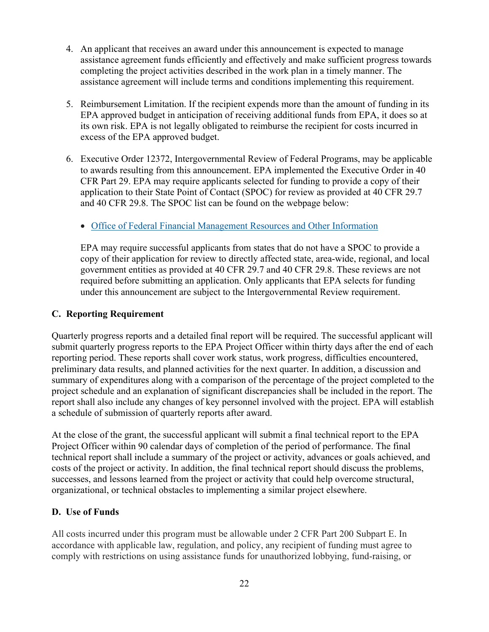- 4. An applicant that receives an award under this announcement is expected to manage assistance agreement funds efficiently and effectively and make sufficient progress towards completing the project activities described in the work plan in a timely manner. The assistance agreement will include terms and conditions implementing this requirement.
- 5. Reimbursement Limitation. If the recipient expends more than the amount of funding in its EPA approved budget in anticipation of receiving additional funds from EPA, it does so at its own risk. EPA is not legally obligated to reimburse the recipient for costs incurred in excess of the EPA approved budget.
- 6. Executive Order 12372, Intergovernmental Review of Federal Programs, may be applicable to awards resulting from this announcement. EPA implemented the Executive Order in 40 CFR Part 29. EPA may require applicants selected for funding to provide a copy of their application to their State Point of Contact (SPOC) for review as provided at 40 CFR 29.7 and 40 CFR 29.8. The SPOC list can be found on the webpage below:

## • [Office of Federal Financial Management Resources and Other Information](https://www.whitehouse.gov/omb/management/office-federal-financial-management/)

 EPA may require successful applicants from states that do not have a SPOC to provide a copy of their application for review to directly affected state, area-wide, regional, and local government entities as provided at 40 CFR 29.7 and 40 CFR 29.8. These reviews are not required before submitting an application. Only applicants that EPA selects for funding under this announcement are subject to the Intergovernmental Review requirement.

#### **C. Reporting Requirement**

Quarterly progress reports and a detailed final report will be required. The successful applicant will submit quarterly progress reports to the EPA Project Officer within thirty days after the end of each reporting period. These reports shall cover work status, work progress, difficulties encountered, preliminary data results, and planned activities for the next quarter. In addition, a discussion and summary of expenditures along with a comparison of the percentage of the project completed to the project schedule and an explanation of significant discrepancies shall be included in the report. The report shall also include any changes of key personnel involved with the project. EPA will establish a schedule of submission of quarterly reports after award.

At the close of the grant, the successful applicant will submit a final technical report to the EPA Project Officer within 90 calendar days of completion of the period of performance. The final technical report shall include a summary of the project or activity, advances or goals achieved, and costs of the project or activity. In addition, the final technical report should discuss the problems, successes, and lessons learned from the project or activity that could help overcome structural, organizational, or technical obstacles to implementing a similar project elsewhere.

## **D. Use of Funds**

All costs incurred under this program must be allowable under 2 CFR Part 200 Subpart E. In accordance with applicable law, regulation, and policy, any recipient of funding must agree to comply with restrictions on using assistance funds for unauthorized lobbying, fund-raising, or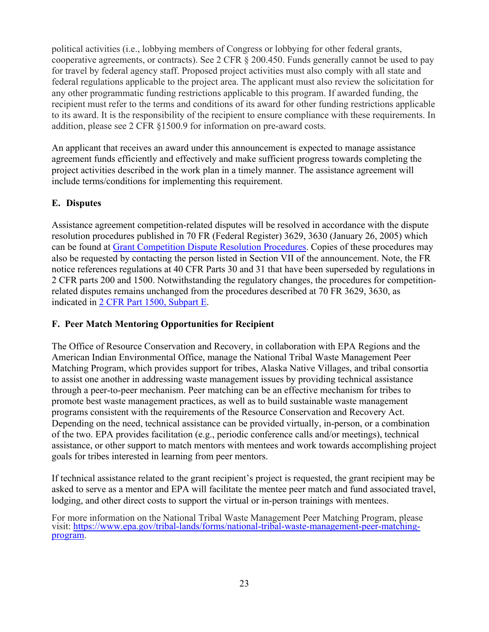political activities (i.e., lobbying members of Congress or lobbying for other federal grants, cooperative agreements, or contracts). See 2 CFR § 200.450. Funds generally cannot be used to pay for travel by federal agency staff. Proposed project activities must also comply with all state and federal regulations applicable to the project area. The applicant must also review the solicitation for any other programmatic funding restrictions applicable to this program. If awarded funding, the recipient must refer to the terms and conditions of its award for other funding restrictions applicable to its award. It is the responsibility of the recipient to ensure compliance with these requirements. In addition, please see 2 CFR §1500.9 for information on pre-award costs.

An applicant that receives an award under this announcement is expected to manage assistance agreement funds efficiently and effectively and make sufficient progress towards completing the project activities described in the work plan in a timely manner. The assistance agreement will include terms/conditions for implementing this requirement.

# **E. Disputes**

Assistance agreement competition-related disputes will be resolved in accordance with the dispute resolution procedures published in 70 FR (Federal Register) 3629, 3630 (January 26, 2005) which can be found at [Grant Competition Dispute Resolution Procedures.](https://www.epa.gov/grants/grant-competition-dispute-resolution-procedures) Copies of these procedures may also be requested by contacting the person listed in Section VII of the announcement. Note, the FR notice references regulations at 40 CFR Parts 30 and 31 that have been superseded by regulations in 2 CFR parts 200 and 1500. Notwithstanding the regulatory changes, the procedures for competitionrelated disputes remains unchanged from the procedures described at 70 FR 3629, 3630, as indicated in [2 CFR Part 1500, Subpart E.](https://www.ecfr.gov/cgi-bin/text-idx?SID=3a9d37ee65a29390f40e14c2786e60e6&mc=true&node=pt2.1.1500&rgn=div5#sp2.1.1500.e)

## **F. Peer Match Mentoring Opportunities for Recipient**

The Office of Resource Conservation and Recovery, in collaboration with EPA Regions and the American Indian Environmental Office, manage the National Tribal Waste Management Peer Matching Program, which provides support for tribes, Alaska Native Villages, and tribal consortia to assist one another in addressing waste management issues by providing technical assistance through a peer-to-peer mechanism. Peer matching can be an effective mechanism for tribes to promote best waste management practices, as well as to build sustainable waste management programs consistent with the requirements of the Resource Conservation and Recovery Act. Depending on the need, technical assistance can be provided virtually, in-person, or a combination of the two. EPA provides facilitation (e.g., periodic conference calls and/or meetings), technical assistance, or other support to match mentors with mentees and work towards accomplishing project goals for tribes interested in learning from peer mentors.

If technical assistance related to the grant recipient's project is requested, the grant recipient may be asked to serve as a mentor and EPA will facilitate the mentee peer match and fund associated travel, lodging, and other direct costs to support the virtual or in-person trainings with mentees.

For more information on the National Tribal Waste Management [Peer Matching Program, please](https://www.epa.gov/tribal-lands/forms/national-tribal-waste-management-peer-matching-program) visit: [https://www.epa.gov/tribal-lands/forms/national-tribal-waste-management-peer-matching-](https://www.epa.gov/tribal-lands/forms/national-tribal-waste-management-peer-matching-program)<br>[program.](https://www.epa.gov/tribal-lands/forms/national-tribal-waste-management-peer-matching-program)